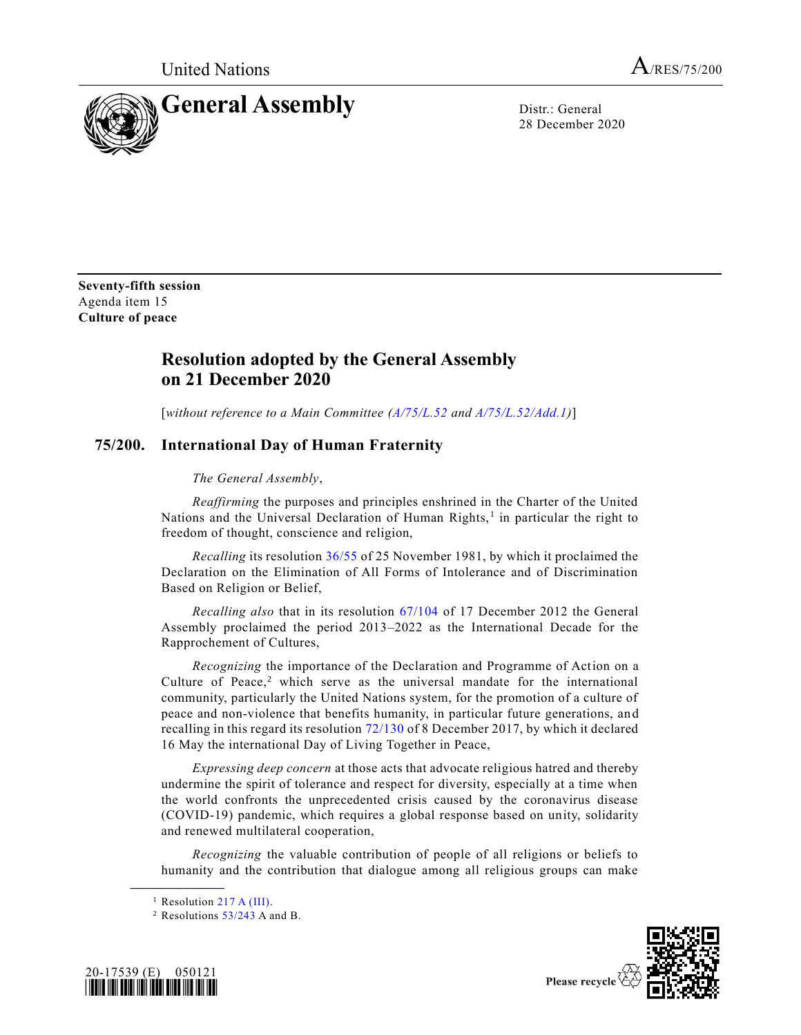



28 December 2020

**Seventy-fifth session** Agenda item 15 **Culture of peace**

## **Resolution adopted by the General Assembly on 21 December 2020**

[*without reference to a Main Committee [\(A/75/L.52](https://undocs.org/en/A/75/L.52) and [A/75/L.52/Add.1\)](https://undocs.org/en/A/75/L.52/Add.1)*]

## **75/200. International Day of Human Fraternity**

## *The General Assembly*,

*Reaffirming* the purposes and principles enshrined in the Charter of the United Nations and the Universal Declaration of Human Rights,<sup>1</sup> in particular the right to freedom of thought, conscience and religion,

*Recalling* its resolution [36/55](https://undocs.org/en/A/RES/36/55) of 25 November 1981, by which it proclaimed the Declaration on the Elimination of All Forms of Intolerance and of Discrimination Based on Religion or Belief,

*Recalling also* that in its resolution [67/104](https://undocs.org/en/A/RES/67/104) of 17 December 2012 the General Assembly proclaimed the period 2013–2022 as the International Decade for the Rapprochement of Cultures,

*Recognizing* the importance of the Declaration and Programme of Action on a Culture of Peace, $2$  which serve as the universal mandate for the international community, particularly the United Nations system, for the promotion of a culture of peace and non-violence that benefits humanity, in particular future generations, an d recalling in this regard its resolution [72/130](https://undocs.org/en/A/RES/72/130) of 8 December 2017, by which it declared 16 May the international Day of Living Together in Peace,

*Expressing deep concern* at those acts that advocate religious hatred and thereby undermine the spirit of tolerance and respect for diversity, especially at a time when the world confronts the unprecedented crisis caused by the coronavirus disease (COVID-19) pandemic, which requires a global response based on unity, solidarity and renewed multilateral cooperation,

*Recognizing* the valuable contribution of people of all religions or beliefs to humanity and the contribution that dialogue among all religious groups can make

**\_\_\_\_\_\_\_\_\_\_\_\_\_\_\_\_\_\_**

<sup>&</sup>lt;sup>2</sup> Resolutions  $53/243$  A and B.





Please recycle  $\forall$ 

<sup>&</sup>lt;sup>1</sup> Resolution [217 A \(III\).](https://undocs.org/en/A/RES/217(III))